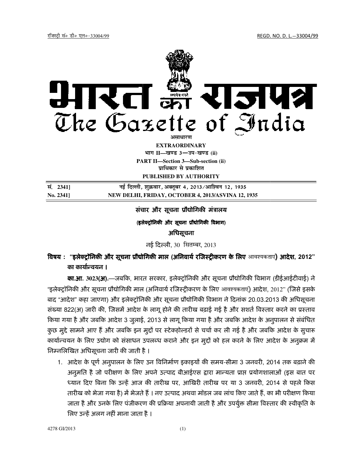

**PART II II—Section 3—Sub-section (ii) EXTRAORDINARY Hkkx II—[k.M 3**—**mi&[k.M (ii) प्राधिकार से प्रकाशित** 

**PUBLISHED BY AUTHORITY** 

**la- 2341] ubZ fnYyh] ' ubZ fnYyh] 'kqØokj] vDrwcj 4] 2013@vkf'ou 12] 1935 No. 2341] NEW DELHI, FRIDAY, OCTOBER 4, 2013/ASVINA 12, 1935**

# संचार और सूचना प्रौद्योगिकी मंत्रालय

#### (इलेक्ट्रॉनिकी और सूचना प्रौद्योगिकी विभाग)

#### अिधसूचना

नई दिल्ली, 30 सितम्बर, 2013

# विषय : "इ<mark>लेक्ट्रॉनिकी और सूचना प्रौद्योगिकी माल (अनिवार्य रजिस्ट्रीकरण के लिए आवश्यकताए<mark>) आदेश, 2012</mark>"</mark> का कार्यान्वयन ।

**का.आ. 3023(अ).**—जबकि, भारत सरकार, इलेक्ट्रॉनिकी और सूचना प्रौद्योगिकी विभाग (डीईआईटीवाई) ने "इलेक्ट्रॉनिकी और सूचना प्रौद्योगिकी माल (अनिवार्य रजिस्ट्रीकरण के लिए आवश्यकताएं) आदेश, 2012" (जिसे इसके बाद "आदेश" कहा जाएगा) और इलेक्ट्रॉनिकी और सूचना प्रौद्योगिकी विभाग ने दिनाक 20.03.2013 की अधिसूचना संख्या 822(अ) जारी की, जिसमें आदेश के लागू होने की तारीख बढ़ाई गई है और सशते विस्तार करने का प्रस्ताव किया गया है और जबकि आदेश 3 जुलाई, 2013 से लागू किया गया है और जबकि आदेश के अनुपालन से सर्बाधेत कुछ मुद्दे सामने आए है और जबकि इन मुद्दो पर स्टेकहोल्डरो से चचो कर ली गई है और जबकि आदेश के सुचारू कार्यान्वयन के लिए उद्योग को संसाधन उपलब्ध कराने और इन मुद्दो को हल करने के लिए आदेश के अनुक्रम में निम्नलिखित अधिसूचना जारी की जाती है ।

1. आदेश के पूर्ण अनुपालन के लिए उन विनिर्माण इकाइयो की समय-सीमा 3 जनवरी, 2014 तक बढ़ाने की अनुमति है जो परीक्षण के लिए अपने उत्पाद बीआईएस द्वारा मान्यता प्राप्त प्रयोगशालाओं (इस बात पर ध्यान दिए बिना कि उन्हें आज की तारीख पर, आखिरी तारीख पर या 3 जनवरी, 2014 से पहले किस तारीख को भेजा गया है) में भेजते हैं । नए उत्पाद अथवा मॉडल जब लाच किए जाते हैं, का भी परीक्षण किया जाता है और उनके लिए पंजीकरण की प्रक्रिया अपनायी जाती है और उपयुक्त सीमा विस्तार की स्वीकृति के लिए उन्हें अलग नहीं माना जाता है ।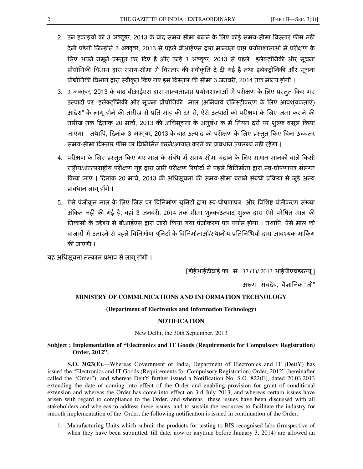- 2. उन इकाइयों को 3 अक्तूबर, 2013 के बाद समय सीमा बढ़ाने के लिए कोई समय-सीमा विस्तार फीस नहीं देनी पड़ेगी जिन्होंने 3 अक्तूबर, 2013 से पहले बीआईएस द्वारा मान्यता प्राप्त प्रयोगशालाओं में परीक्षण के लिए अपने नमूने प्रस्तुत कर दिए हैं और उन्हें 3 अक्तुबर, 2013 से पहले इलेक्टॉनिकी और सूचना प्रौद्योगिकी विभाग द्वारा समय-सीमा में विस्तार की स्वीकृति दे दी गई है तथा इलेक्ट्रॉनिकी और सूचना प्रौद्योगिकी विभाग द्वारा स्वीकृत किए गए इस विस्तार की सीमा 3 जनवरी, 2014 तक मान्य होगी ।
- 3. 3 अक्तूबर, 2013 के बाद बीआईएस द्वारा मान्यताप्राप्त प्रयोगशालाओं में परीक्षण के लिए प्रस्तुत किए गए उत्पादों पर "इलेक्ट्रॉनिकी और सूचना प्रौद्योगिकी माल (अनिवार्य रजिस्ट्रीकरण के लिए आवशयकताएं) आदेश" के लागू होने की तारीख से प्रति माह की दर से, ऐसे उत्पादों को परीक्षण के लिए जमा कराने की तारीख तक दिनांक 20 मार्च, 2013 की अधिसूचना के अनुबंध क में नियत दरों पर शुल्क वसूल किया जाएगा । तथापि, दिनांक 3 अक्तूबर, 2013 के बाद उत्पाद को परीक्षण के लिए प्रस्तुत किए बिना उच्चतर समय-सीमा विस्तार फीस पर विनिर्मित करने/आयात करने का प्रावधान उपलब्ध नहीं रहेगा ।
- 4. परीक्षण के लिए प्रस्तुत किए गए माल के संबंध में समय-सीमा बढ़ाने के लिए समान मानकों वाले किसी राष्ट्रीय/अन्तरराष्ट्रीय परीक्षण गृह द्वारा जारी परीक्षण रिपोर्टों से पहले विनिर्माता द्वारा स्व-घोषणापत्र संलग्न किया जाए । दिनांक 20 मार्च, 2013 की अधिसूचना की समय-सीमा बढ़ाने संबंधी प्रक्रिया से जुड़े अन्य प्रावधान लागू होंगे ।
- 5. ऐसे पंजीकृत माल के लिए जिस पर विनिर्माण युनिटों द्वारा स्व-घोषणापत्र और विशिष्ट पंजीकरण संख्या अंकित नहीं की गई है, वहां 3 जनवरी, 2014 तक सीमा शुल्क/उत्पाद शुल्क द्वारा ऐसे परेषित माल की निकासी के उद्देश्य से बीआईएस द्वारा जारी किया गया पंजीकरण पत्र पर्यास होगा । तथापि, ऐसे माल को बाज़ारों में उतारने से पहले विनिर्माण यूनिटों के विनिर्माताओं/स्थानीय प्रतिनिधियों द्वारा आवश्यक मार्किंग की जाएगी ।

यह अधिसूचना तत्काल प्रभाव से लागू होगी ।

[डीईआईटीवाई फा. सं. 37 (1)/ 2013-आईपीएचडब्ल्यू ]

अरूण सचदेव, वैज्ञानिक "जी"

#### **MINISTRY OF COMMUNICATIONS AND INFORMATION TECHNOLOGY**

#### **(Department of Electronics and Information Technology)**

## **NOTIFICATION**

New Delhi, the 30th September, 2013

## **Subject : Implementation of "Electronics and IT Goods (Requirements for Compulsory Registration) Order, 2012".**

**S.O. 3023(E).**—Whereas Government of India, Department of Electronics and IT (DeitY) has issued the "Electronics and IT Goods (Requirements for Compulsory Registration) Order, 2012" (hereinafter called the "Order"), and whereas DeitY further issued a Notification No. S.O. 822(E), dated 20.03.2013 extending the date of coming into effect of the Order and enabling provision for grant of conditional extension and whereas the Order has come into effect on 3rd July 2013, and whereas certain issues have arisen with regard to compliance to the Order, and whereas these issues have been discussed with all stakeholders and whereas to address these issues, and to sustain the resources to facilitate the industry for smooth implementation of the Order, the following notification is issued in continuation of the Order.

1. Manufacturing Units which submit the products for testing to BIS recognised labs (irrespective of when they have been submitted, till date, now or anytime before January 3, 2014) are allowed an